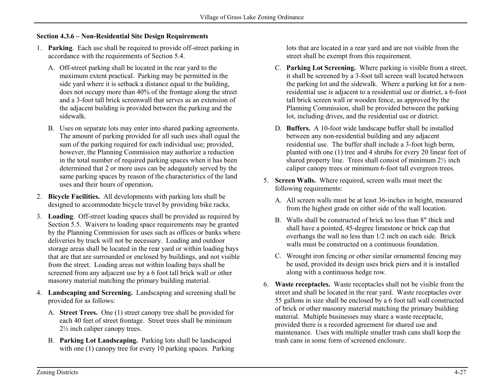## **Section 4.3.6 – Non-Residential Site Design Requirements**

- 1. **Parking**. Each use shall be required to provide off-street parking in accordance with the requirements of Section 5.4.
	- A. Off-street parking shall be located in the rear yard to the maximum extent practical. Parking may be permitted in the side yard where it is setback a distance equal to the building, does not occupy more than 40% of the frontage along the street and a 3-foot tall brick screenwall that serves as an extension of the adjacent building is provided between the parking and the sidewalk.
	- B. Uses on separate lots may enter into shared parking agreements. The amount of parking provided for all such uses shall equal the sum of the parking required for each individual use; provided, however, the Planning Commission may authorize a reduction in the total number of required parking spaces when it has been determined that 2 or more uses can be adequately served by the same parking spaces by reason of the characteristics of the land uses and their hours of operation**.**
- 2. **Bicycle Facilities.** All developments with parking lots shall be designed to accommodate bicycle travel by providing bike racks.
- 3. **Loading**. Off-street loading spaces shall be provided as required by Section 5.5. Waivers to loading space requirements may be granted by the Planning Commission for uses such as offices or banks where deliveries by truck will not be necessary. Loading and outdoor storage areas shall be located in the rear yard or within loading bays that are that are surrounded or enclosed by buildings, and not visible from the street. Loading areas not within loading bays shall be screened from any adjacent use by a 6 foot tall brick wall or other masonry material matching the primary building material.
- 4. **Landscaping and Screening.** Landscaping and screening shall be provided for as follows:
	- A. **Street Trees.** One (1) street canopy tree shall be provided for each 40 feet of street frontage. Street trees shall be minimum 2½ inch caliper canopy trees.
	- B. **Parking Lot Landscaping.** Parking lots shall be landscaped with one (1) canopy tree for every 10 parking spaces. Parking

lots that are located in a rear yard and are not visible from the street shall be exempt from this requirement.

- C. **Parking Lot Screening.** Where parking is visible from a street, it shall be screened by a 3-foot tall screen wall located between the parking lot and the sidewalk. Where a parking lot for a nonresidential use is adjacent to a residential use or district, a 6-foot tall brick screen wall or wooden fence, as approved by the Planning Commission, shall be provided between the parking lot, including drives, and the residential use or district.
- D. **Buffers.** A 10-foot wide landscape buffer shall be installed between any non-residential building and any adjacent residential use. The buffer shall include a 3-foot high berm, planted with one (1) tree and 4 shrubs for every 20 linear feet of shared property line. Trees shall consist of minimum 2½ inch caliper canopy trees or minimum 6-foot tall evergreen trees.
- 5. **Screen Walls.** Where required, screen walls must meet the following requirements:
	- A. All screen walls must be at least 36-inches in height, measured from the highest grade on either side of the wall location.
	- B. Walls shall be constructed of brick no less than 8" thick and shall have a pointed, 45-degree limestone or brick cap that overhangs the wall no less than 1/2 inch on each side. Brick walls must be constructed on a continuous foundation.
	- C. Wrought iron fencing or other similar ornamental fencing may be used, provided its design uses brick piers and it is installed along with a continuous hedge row.
- 6. **Waste receptacles.** Waste receptacles shall not be visible from the street and shall be located in the rear yard. Waste receptacles over 55 gallons in size shall be enclosed by a 6 foot tall wall constructed of brick or other masonry material matching the primary building material. Multiple businesses may share a waste receptacle, provided there is a recorded agreement for shared use and maintenance. Uses with multiple smaller trash cans shall keep the trash cans in some form of screened enclosure.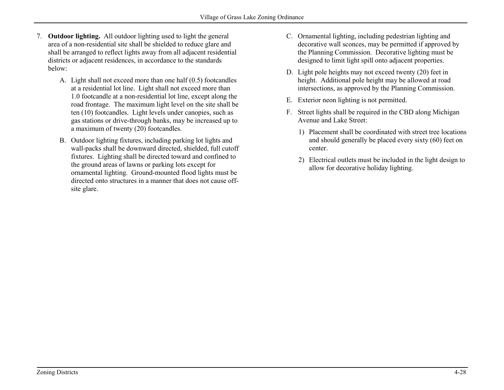- 7. **Outdoor lighting.** All outdoor lighting used to light the general area of a non-residential site shall be shielded to reduce glare and shall be arranged to reflect lights away from all adjacent residential districts or adjacent residences, in accordance to the standards below:
	- A. Light shall not exceed more than one half (0.5) footcandles at a residential lot line. Light shall not exceed more than 1.0 footcandle at a non-residential lot line, except along the road frontage. The maximum light level on the site shall be ten (10) footcandles. Light levels under canopies, such as gas stations or drive-through banks, may be increased up to a maximum of twenty (20) footcandles.
	- B. Outdoor lighting fixtures, including parking lot lights and wall-packs shall be downward directed, shielded, full cutoff fixtures. Lighting shall be directed toward and confined to the ground areas of lawns or parking lots except for ornamental lighting. Ground-mounted flood lights must be directed onto structures in a manner that does not cause offsite glare.
- C. Ornamental lighting, including pedestrian lighting and decorative wall sconces, may be permitted if approved by the Planning Commission. Decorative lighting must be designed to limit light spill onto adjacent properties.
- D. Light pole heights may not exceed twenty (20) feet in height. Additional pole height may be allowed at road intersections, as approved by the Planning Commission.
- E. Exterior neon lighting is not permitted.
- F. Street lights shall be required in the CBD along Michigan Avenue and Lake Street:
	- 1) Placement shall be coordinated with street tree locations and should generally be placed every sixty (60) feet on center.
	- 2) Electrical outlets must be included in the light design to allow for decorative holiday lighting.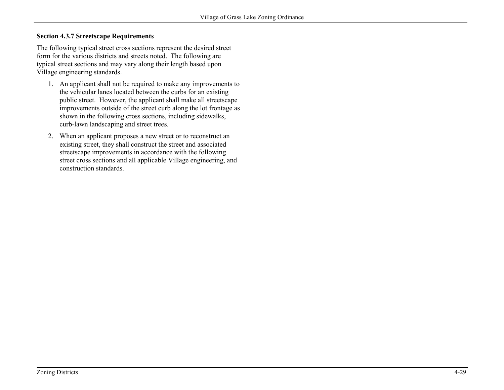## **Section 4.3.7 Streetscape Requirements**

The following typical street cross sections represent the desired street form for the various districts and streets noted. The following are typical street sections and may vary along their length based upon Village engineering standards.

- 1. An applicant shall not be required to make any improvements to the vehicular lanes located between the curbs for an existing public street. However, the applicant shall make all streetscape improvements outside of the street curb along the lot frontage as shown in the following cross sections, including sidewalks, curb-lawn landscaping and street trees.
- 2. When an applicant proposes a new street or to reconstruct an existing street, they shall construct the street and associated streetscape improvements in accordance with the following street cross sections and all applicable Village engineering, and construction standards.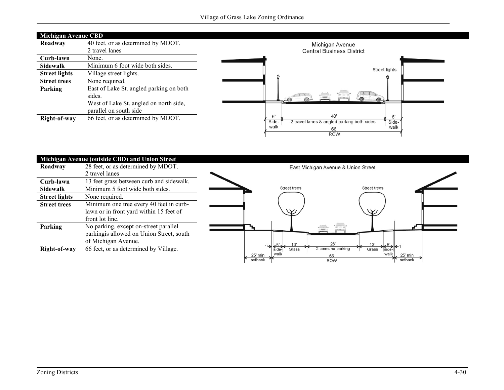| <b>Michigan Avenue CBD</b> |                                         |                                                                                |  |  |  |
|----------------------------|-----------------------------------------|--------------------------------------------------------------------------------|--|--|--|
| Roadway                    | 40 feet, or as determined by MDOT.      | Michigan Avenue                                                                |  |  |  |
|                            | 2 travel lanes                          | <b>Central Business District</b>                                               |  |  |  |
| Curb-lawn                  | None.                                   |                                                                                |  |  |  |
| <b>Sidewalk</b>            | Minimum 6 foot wide both sides.         | <b>Street lights</b>                                                           |  |  |  |
| <b>Street lights</b>       | Village street lights.                  |                                                                                |  |  |  |
| <b>Street trees</b>        | None required.                          |                                                                                |  |  |  |
| Parking                    | East of Lake St. angled parking on both |                                                                                |  |  |  |
|                            | sides.                                  | டை                                                                             |  |  |  |
|                            | West of Lake St. angled on north side,  |                                                                                |  |  |  |
|                            | parallel on south side                  |                                                                                |  |  |  |
| Right-of-way               | 66 feet, or as determined by MDOT.      | 40'<br>6<br>6'<br>Side-<br>2 travel lanes & angled parking both sides<br>Side- |  |  |  |
|                            |                                         | walk<br>walk<br>66'                                                            |  |  |  |
|                            |                                         | <b>ROW</b>                                                                     |  |  |  |

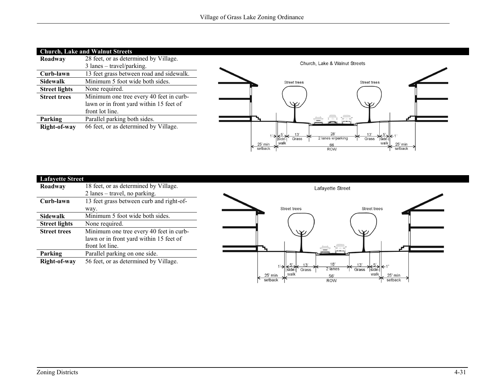| <b>Church, Lake and Walnut Streets</b> |                                          |  |                               |                                                                         |  |
|----------------------------------------|------------------------------------------|--|-------------------------------|-------------------------------------------------------------------------|--|
| Roadway                                | 28 feet, or as determined by Village.    |  |                               |                                                                         |  |
|                                        | $3$ lanes – travel/parking.              |  | Church, Lake & Walnut Streets |                                                                         |  |
| Curb-lawn                              | 13 feet grass between road and sidewalk. |  |                               |                                                                         |  |
| Sidewalk                               | Minimum 5 foot wide both sides.          |  | <b>Street trees</b>           | <b>Street trees</b>                                                     |  |
| <b>Street lights</b>                   | None required.                           |  |                               |                                                                         |  |
| <b>Street trees</b>                    | Minimum one tree every 40 feet in curb-  |  |                               |                                                                         |  |
|                                        | lawn or in front yard within 15 feet of  |  | $\vee$                        | $\vee$                                                                  |  |
|                                        | front lot line.                          |  |                               |                                                                         |  |
| Parking                                | Parallel parking both sides.             |  |                               |                                                                         |  |
| Right-of-way                           | 66 feet, or as determined by Village.    |  |                               |                                                                         |  |
|                                        |                                          |  | 13<br>Grass                   | 28'<br>13'<br>$\frac{5}{\text{side}}$ < 1<br>2 lanes w/parking<br>Grass |  |
|                                        |                                          |  | walk<br>25' min<br>setback    | walk<br>25' min<br>66<br>setback<br><b>ROW</b>                          |  |
|                                        |                                          |  |                               |                                                                         |  |

| <b>Lafayette Street</b> |                                          |                                                          |
|-------------------------|------------------------------------------|----------------------------------------------------------|
| Roadway                 | 18 feet, or as determined by Village.    | Lafayette Street                                         |
|                         | 2 lanes – travel, no parking.            |                                                          |
| Curb-lawn               | 13 feet grass between curb and right-of- |                                                          |
|                         | way.                                     | <b>Street trees</b><br><b>Street trees</b>               |
| <b>Sidewalk</b>         | Minimum 5 foot wide both sides.          |                                                          |
| <b>Street lights</b>    | None required.                           |                                                          |
| <b>Street trees</b>     | Minimum one tree every 40 feet in curb-  | $\vee$<br>W                                              |
|                         | lawn or in front yard within 15 feet of  |                                                          |
|                         | front lot line.                          |                                                          |
| Parking                 | Parallel parking on one side.            |                                                          |
| Right-of-way            | 56 feet, or as determined by Village.    | 18'<br>13'                                               |
|                         |                                          | $\frac{5}{\text{side}}$ < 1<br>2 lanes<br>Grass<br>Grass |
|                         |                                          | walk<br>walk<br>25' min<br>25' min<br>56'                |
|                         |                                          | setback<br>setback<br><b>ROW</b>                         |